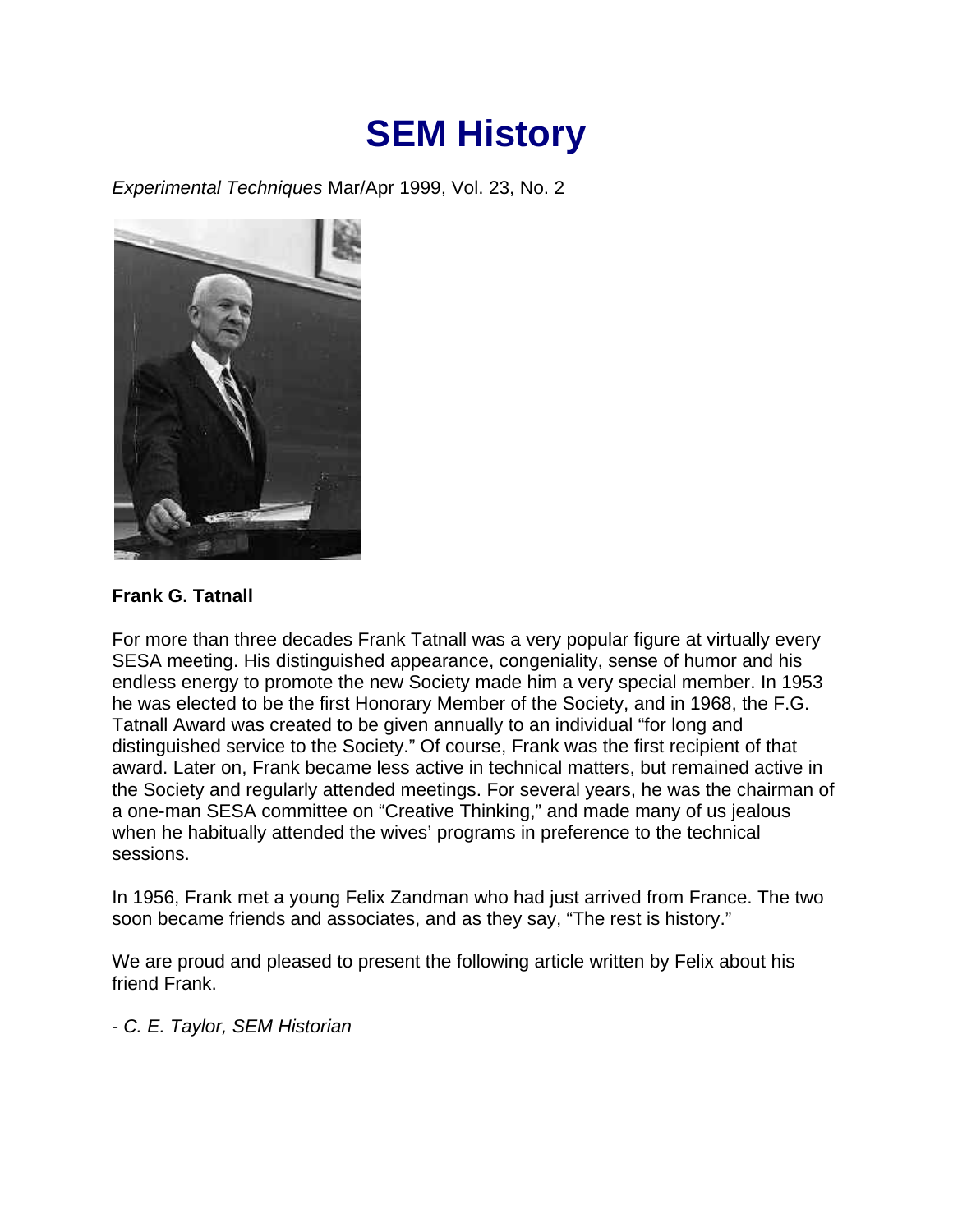## **SEM History**

*Experimental Techniques* Mar/Apr 1999, Vol. 23, No. 2



## **Frank G. Tatnall**

For more than three decades Frank Tatnall was a very popular figure at virtually every SESA meeting. His distinguished appearance, congeniality, sense of humor and his endless energy to promote the new Society made him a very special member. In 1953 he was elected to be the first Honorary Member of the Society, and in 1968, the F.G. Tatnall Award was created to be given annually to an individual "for long and distinguished service to the Society." Of course, Frank was the first recipient of that award. Later on, Frank became less active in technical matters, but remained active in the Society and regularly attended meetings. For several years, he was the chairman of a one-man SESA committee on "Creative Thinking," and made many of us jealous when he habitually attended the wives' programs in preference to the technical sessions.

In 1956, Frank met a young Felix Zandman who had just arrived from France. The two soon became friends and associates, and as they say, "The rest is history."

We are proud and pleased to present the following article written by Felix about his friend Frank.

*- C. E. Taylor, SEM Historian*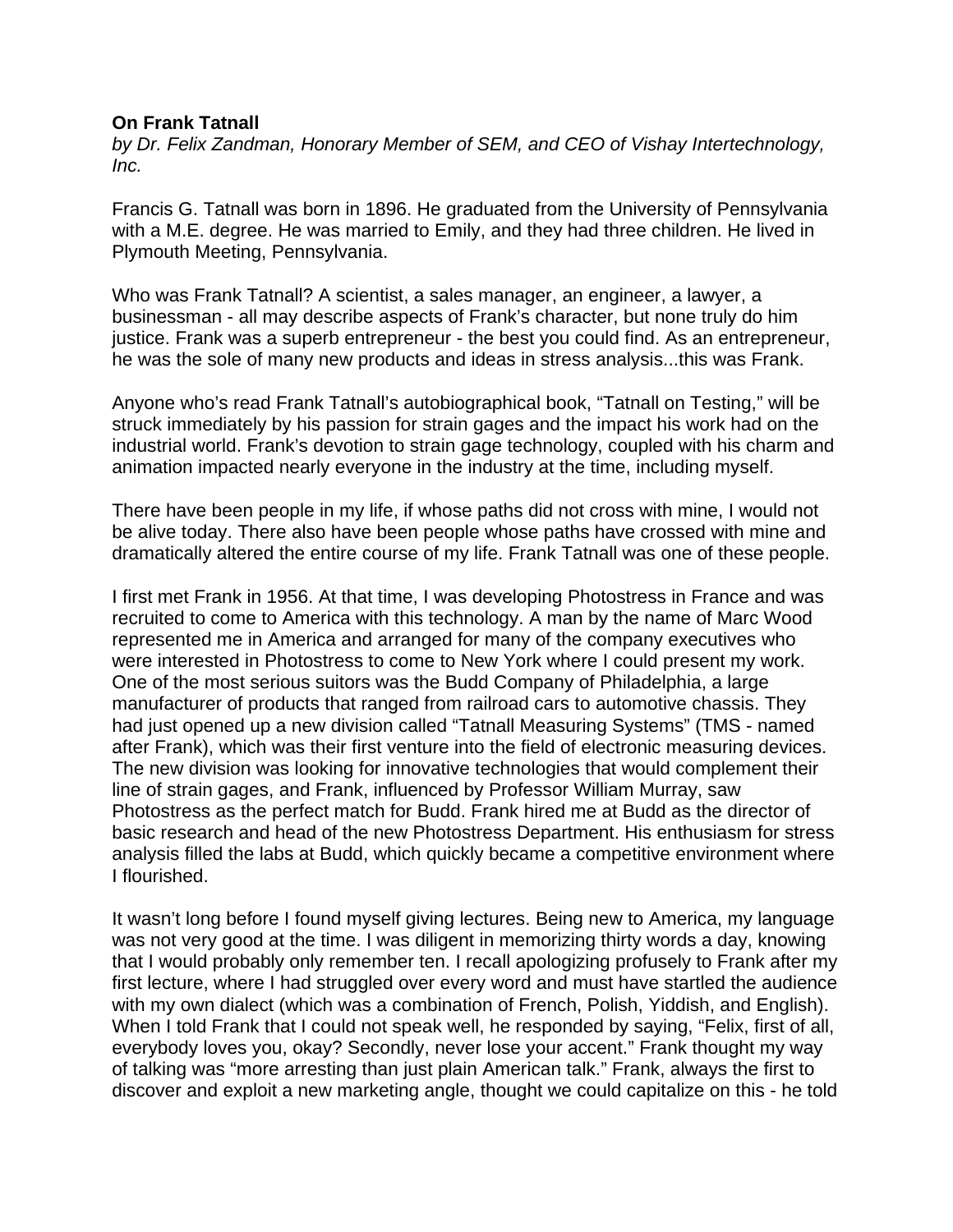## **On Frank Tatnall**

*by Dr. Felix Zandman, Honorary Member of SEM, and CEO of Vishay Intertechnology, Inc.*

Francis G. Tatnall was born in 1896. He graduated from the University of Pennsylvania with a M.E. degree. He was married to Emily, and they had three children. He lived in Plymouth Meeting, Pennsylvania.

Who was Frank Tatnall? A scientist, a sales manager, an engineer, a lawyer, a businessman - all may describe aspects of Frank's character, but none truly do him justice. Frank was a superb entrepreneur - the best you could find. As an entrepreneur, he was the sole of many new products and ideas in stress analysis...this was Frank.

Anyone who's read Frank Tatnall's autobiographical book, "Tatnall on Testing," will be struck immediately by his passion for strain gages and the impact his work had on the industrial world. Frank's devotion to strain gage technology, coupled with his charm and animation impacted nearly everyone in the industry at the time, including myself.

There have been people in my life, if whose paths did not cross with mine, I would not be alive today. There also have been people whose paths have crossed with mine and dramatically altered the entire course of my life. Frank Tatnall was one of these people.

I first met Frank in 1956. At that time, I was developing Photostress in France and was recruited to come to America with this technology. A man by the name of Marc Wood represented me in America and arranged for many of the company executives who were interested in Photostress to come to New York where I could present my work. One of the most serious suitors was the Budd Company of Philadelphia, a large manufacturer of products that ranged from railroad cars to automotive chassis. They had just opened up a new division called "Tatnall Measuring Systems" (TMS - named after Frank), which was their first venture into the field of electronic measuring devices. The new division was looking for innovative technologies that would complement their line of strain gages, and Frank, influenced by Professor William Murray, saw Photostress as the perfect match for Budd. Frank hired me at Budd as the director of basic research and head of the new Photostress Department. His enthusiasm for stress analysis filled the labs at Budd, which quickly became a competitive environment where I flourished.

It wasn't long before I found myself giving lectures. Being new to America, my language was not very good at the time. I was diligent in memorizing thirty words a day, knowing that I would probably only remember ten. I recall apologizing profusely to Frank after my first lecture, where I had struggled over every word and must have startled the audience with my own dialect (which was a combination of French, Polish, Yiddish, and English). When I told Frank that I could not speak well, he responded by saying, "Felix, first of all, everybody loves you, okay? Secondly, never lose your accent." Frank thought my way of talking was "more arresting than just plain American talk." Frank, always the first to discover and exploit a new marketing angle, thought we could capitalize on this - he told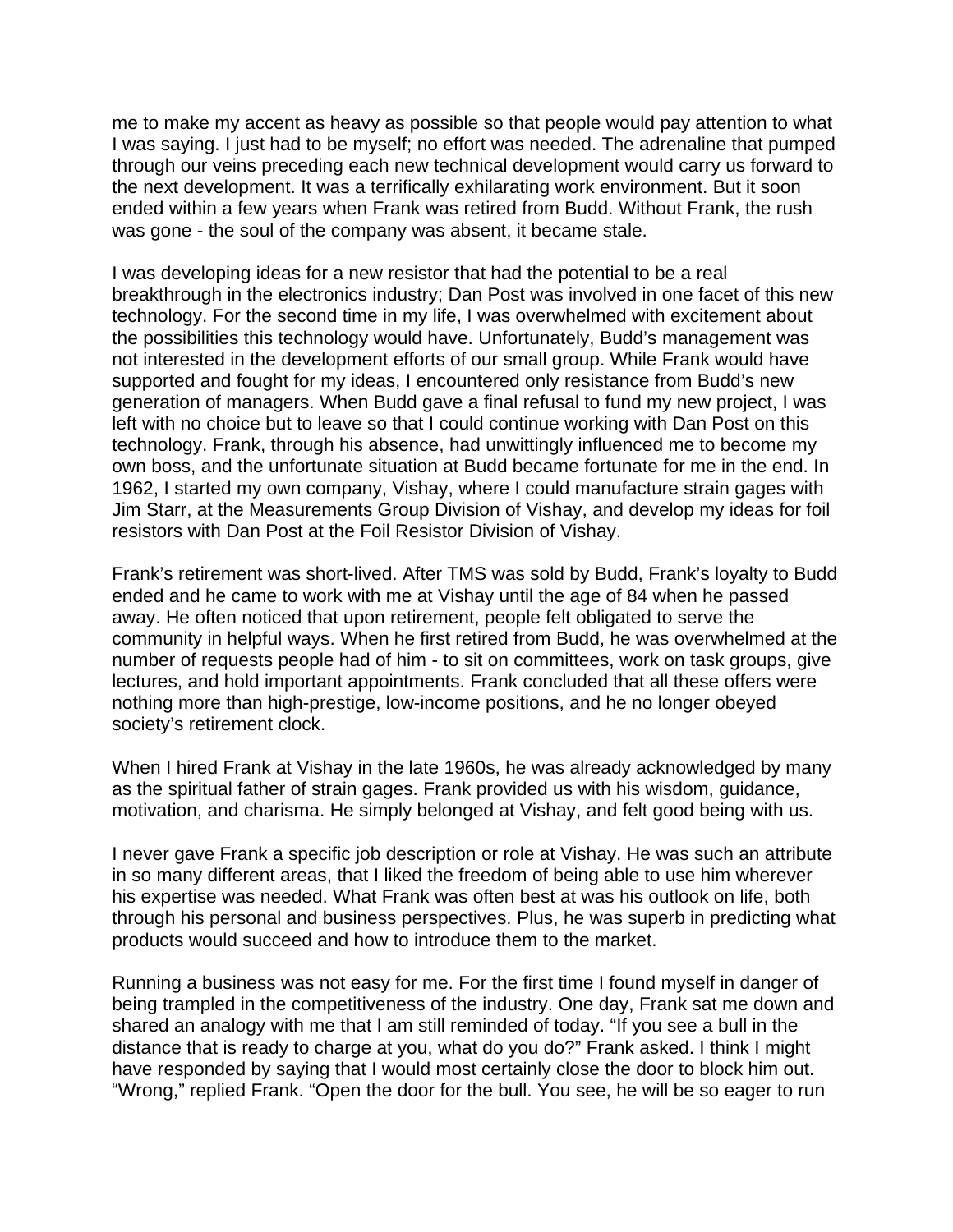me to make my accent as heavy as possible so that people would pay attention to what I was saying. I just had to be myself; no effort was needed. The adrenaline that pumped through our veins preceding each new technical development would carry us forward to the next development. It was a terrifically exhilarating work environment. But it soon ended within a few years when Frank was retired from Budd. Without Frank, the rush was gone - the soul of the company was absent, it became stale.

I was developing ideas for a new resistor that had the potential to be a real breakthrough in the electronics industry; Dan Post was involved in one facet of this new technology. For the second time in my life, I was overwhelmed with excitement about the possibilities this technology would have. Unfortunately, Budd's management was not interested in the development efforts of our small group. While Frank would have supported and fought for my ideas, I encountered only resistance from Budd's new generation of managers. When Budd gave a final refusal to fund my new project, I was left with no choice but to leave so that I could continue working with Dan Post on this technology. Frank, through his absence, had unwittingly influenced me to become my own boss, and the unfortunate situation at Budd became fortunate for me in the end. In 1962, I started my own company, Vishay, where I could manufacture strain gages with Jim Starr, at the Measurements Group Division of Vishay, and develop my ideas for foil resistors with Dan Post at the Foil Resistor Division of Vishay.

Frank's retirement was short-lived. After TMS was sold by Budd, Frank's loyalty to Budd ended and he came to work with me at Vishay until the age of 84 when he passed away. He often noticed that upon retirement, people felt obligated to serve the community in helpful ways. When he first retired from Budd, he was overwhelmed at the number of requests people had of him - to sit on committees, work on task groups, give lectures, and hold important appointments. Frank concluded that all these offers were nothing more than high-prestige, low-income positions, and he no longer obeyed society's retirement clock.

When I hired Frank at Vishay in the late 1960s, he was already acknowledged by many as the spiritual father of strain gages. Frank provided us with his wisdom, guidance, motivation, and charisma. He simply belonged at Vishay, and felt good being with us.

I never gave Frank a specific job description or role at Vishay. He was such an attribute in so many different areas, that I liked the freedom of being able to use him wherever his expertise was needed. What Frank was often best at was his outlook on life, both through his personal and business perspectives. Plus, he was superb in predicting what products would succeed and how to introduce them to the market.

Running a business was not easy for me. For the first time I found myself in danger of being trampled in the competitiveness of the industry. One day, Frank sat me down and shared an analogy with me that I am still reminded of today. "If you see a bull in the distance that is ready to charge at you, what do you do?" Frank asked. I think I might have responded by saying that I would most certainly close the door to block him out. "Wrong," replied Frank. "Open the door for the bull. You see, he will be so eager to run